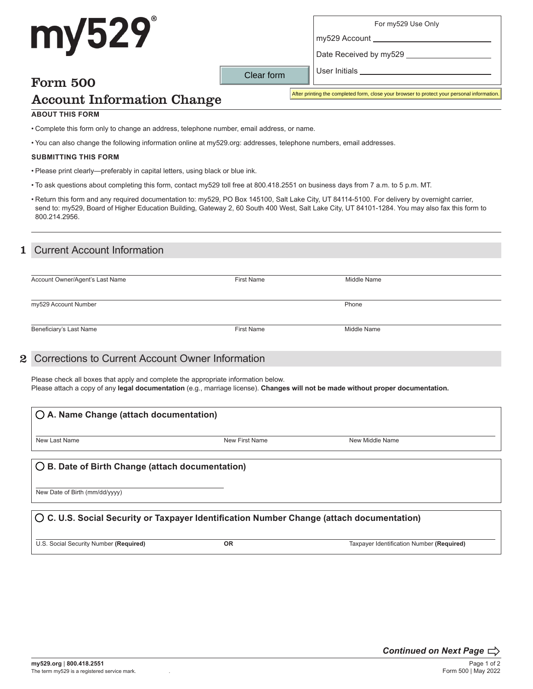# my529

For my529 Use Only

Date Received by my529

# Form 500

Clear form

User Initials

my529 Account

# Account Information Change

After printing the completed form, close your browser to protect your personal information.

#### **ABOUT THIS FORM**

• Complete this form only to change an address, telephone number, email address, or name.

• You can also change the following information online at my529.org: addresses, telephone numbers, email addresses.

#### **SUBMITTING THIS FORM**

- Please print clearly—preferably in capital letters, using black or blue ink.
- To ask questions about completing this form, contact my529 toll free at 800.418.2551 on business days from 7 a.m. to 5 p.m. MT.
- Return this form and any required documentation to: my529, PO Box 145100, Salt Lake City, UT 84114-5100. For delivery by overnight carrier, send to: my529, Board of Higher Education Building, Gateway 2, 60 South 400 West, Salt Lake City, UT 84101-1284. You may also fax this form to 800.214.2956.

#### 1 Current Account Information

| Account Owner/Agent's Last Name | <b>First Name</b> | Middle Name |
|---------------------------------|-------------------|-------------|
| my529 Account Number            |                   | Phone       |
| Beneficiary's Last Name         | <b>First Name</b> | Middle Name |

#### 2 Corrections to Current Account Owner Information

Please check all boxes that apply and complete the appropriate information below. Please attach a copy of any **legal documentation** (e.g., marriage license). **Changes will not be made without proper documentation.**

| $\bigcirc$ A. Name Change (attach documentation)                                                   |                |                 |  |
|----------------------------------------------------------------------------------------------------|----------------|-----------------|--|
| New Last Name                                                                                      | New First Name | New Middle Name |  |
| $\bigcirc$ B. Date of Birth Change (attach documentation)                                          |                |                 |  |
| New Date of Birth (mm/dd/yyyy)                                                                     |                |                 |  |
| $\bigcirc$ C. U.S. Social Security or Taxpayer Identification Number Change (attach documentation) |                |                 |  |

U.S. Social Security Number **(Required) OR** Taxpayer Identification Number **(Required)**